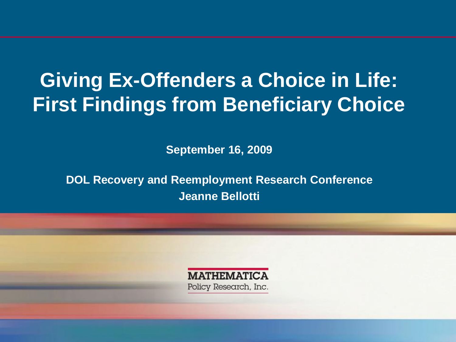## **Giving Ex-Offenders a Choice in Life: First Findings from Beneficiary Choice**

 **September 16, 2009**

**DOL Recovery and Reemployment Research Conference Jeanne Bellotti**

> **MATHEMATICA** Policy Research, Inc.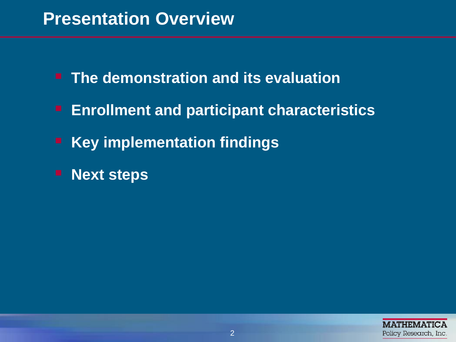#### **Presentation Overview**

- **The demonstration and its evaluation**
- **Enrollment and participant characteristics**
- **Key implementation findings**
- **Next steps**

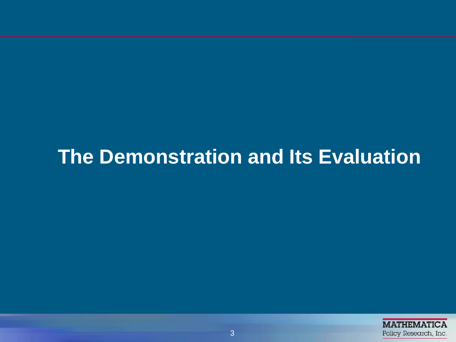### **The Demonstration and Its Evaluation**

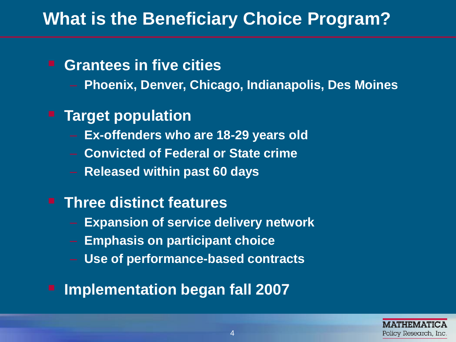### **What is the Beneficiary Choice Program?**

#### **Grantees in five cities**

– **Phoenix, Denver, Chicago, Indianapolis, Des Moines** 

#### **Target population**

- **Ex-offenders who are 18-29 years old**
- **Convicted of Federal or State crime**
- **Released within past 60 days**

#### **Three distinct features**

- **Expansion of service delivery network**
- **Emphasis on participant choice**
- **Use of performance-based contracts**
- **Implementation began fall 2007**

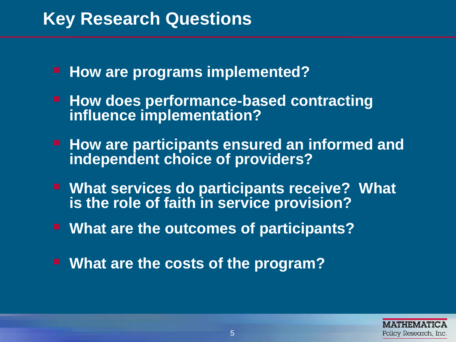#### **Key Research Questions**

- **How are programs implemented?**
- **How does performance-based contracting influence implementation?**
- **How are participants ensured an informed and independent choice of providers?**
- What services do participants receive? What **is the role of faith in service provision?**
- **What are the outcomes of participants?**
- **What are the costs of the program?**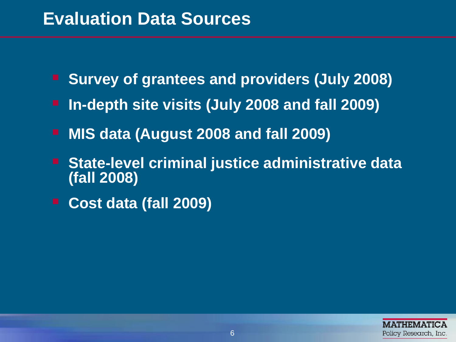#### **Evaluation Data Sources**

- **Survey of grantees and providers (July 2008)**
- **In-depth site visits (July 2008 and fall 2009)**
- **MIS data (August 2008 and fall 2009)**
- **(fall 2008) State-level criminal justice administrative data**
- **Cost data (fall 2009)**

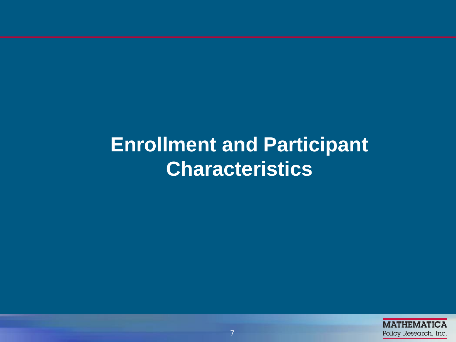**Enrollment and Participant Characteristics**

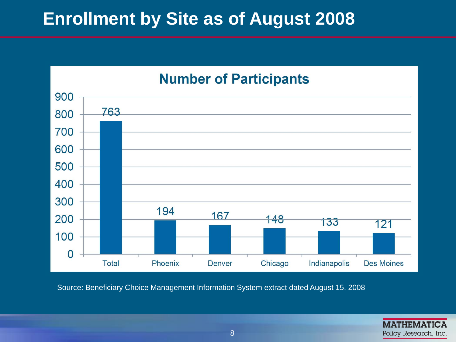### **Enrollment by Site as of August 2008**



Source: Beneficiary Choice Management Information System extract dated August 15, 2008

**MATHEMATICA** Policy Research, Inc.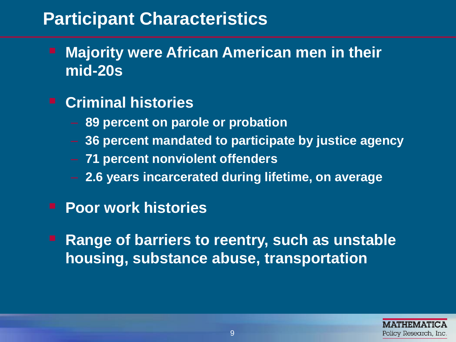#### **Participant Characteristics**

- **Majority were African American men in their mid-20s**
- **Criminal histories** 
	- **89 percent on parole or probation**
	- **36 percent mandated to participate by justice agency**
	- **71 percent nonviolent offenders**
	- **2.6 years incarcerated during lifetime, on average**
- **Poor work histories**
- **Range of barriers to reentry, such as unstable housing, substance abuse, transportation**

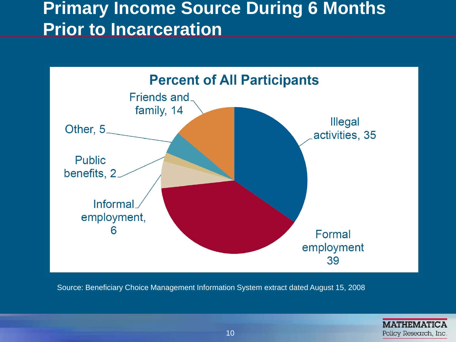#### **Primary Income Source During 6 Months Prior to Incarceration**



Source: Beneficiary Choice Management Information System extract dated August 15, 2008

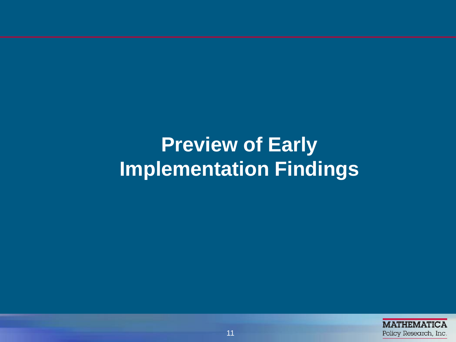# **Preview of Early Implementation Findings**

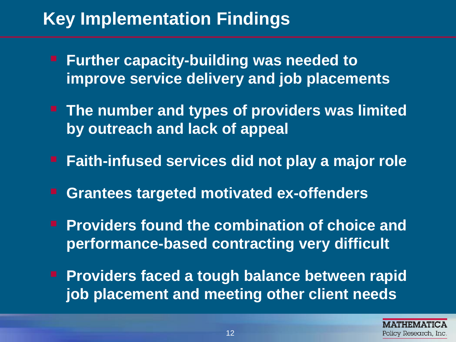### **Key Implementation Findings**

- **Further capacity-building was needed to improve service delivery and job placements**
- **The number and types of providers was limited by outreach and lack of appeal**
- **Faith-infused services did not play a major role**
- **Grantees targeted motivated ex-offenders**
- **performance-based contracting very difficult Providers found the combination of choice and**
- **Providers faced a tough balance between rapid job placement and meeting other client needs**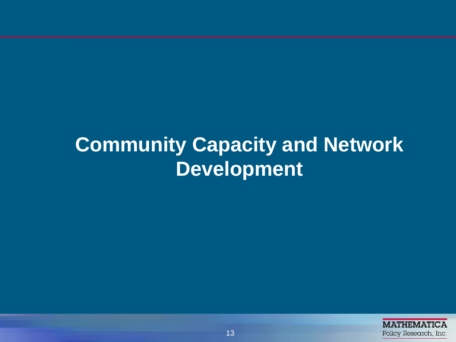## **Community Capacity and Network Development**

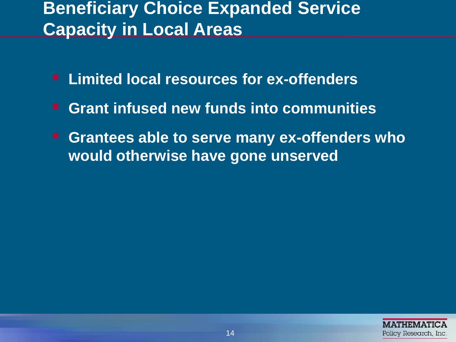### **Beneficiary Choice Expanded Service Capacity in Local Areas**

- **Limited local resources for ex-offenders**
- **Grant infused new funds into communities**
- **would otherwise have gone unserved Grantees able to serve many ex-offenders who**

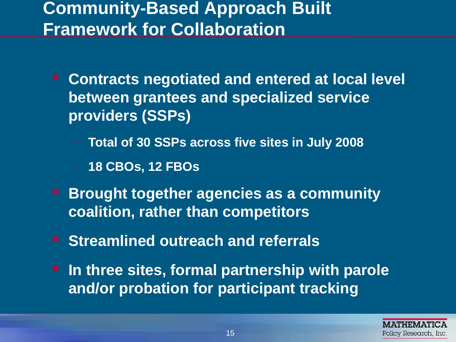### **Community-Based Approach Built Framework for Collaboration**

- **between grantees and specialized service Contracts negotiated and entered at local level providers (SSPs)** 
	- **Total of 30 SSPs across five sites in July 2008**
	- **18 CBOs, 12 FBOs**
- **Brought together agencies as a community coalition, rather than competitors**
- **E** Streamlined outreach and referrals
- **In three sites, formal partnership with parole and/or probation for participant tracking**

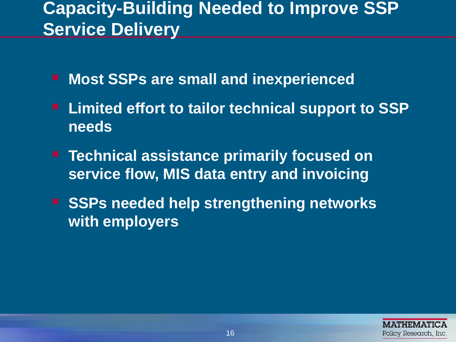### **Capacity-Building Needed to Improve SSP Service Delivery**

- **Most SSPs are small and inexperienced**
- **Limited effort to tailor technical support to SSP needs**
- **Technical assistance primarily focused on service flow, MIS data entry and invoicing**
- **F** SSPs needed help strengthening networks **with employers**

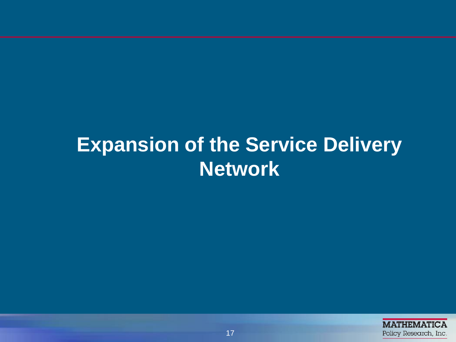## **Expansion of the Service Delivery Network**

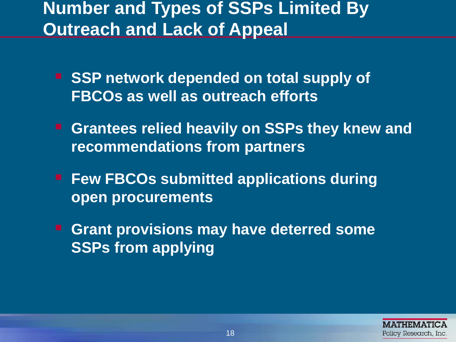#### **Number and Types of SSPs Limited By Outreach and Lack of Appeal**

- SSP network depended on total supply of **FBCOs as well as outreach efforts**
- **E** Grantees relied heavily on SSPs they knew and **recommendations from partners**
- **Few FBCOs submitted applications during open procurements**
- **Grant provisions may have deterred some SSPs from applying**

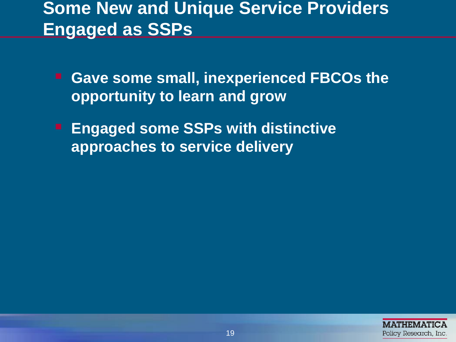#### **Some New and Unique Service Providers Engaged as SSPs**

- **Gave some small, inexperienced FBCOs the opportunity to learn and grow**
- **Engaged some SSPs with distinctive approaches to service delivery**

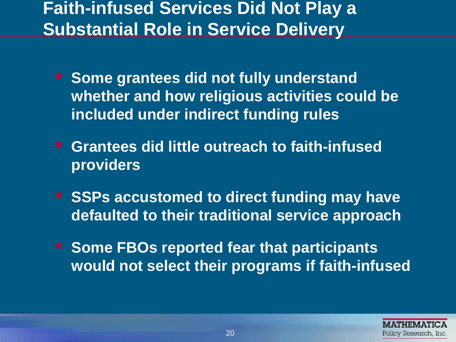#### **Faith-infused Services Did Not Play a Substantial Role in Service Delivery**

- **whether and how religious activities could be F** Some grantees did not fully understand **included under indirect funding rules**
- **Grantees did little outreach to faith-infused providers**
- SSPs accustomed to direct funding may have **defaulted to their traditional service approach**
- **F** Some FBOs reported fear that participants **would not select their programs if faith-infused**

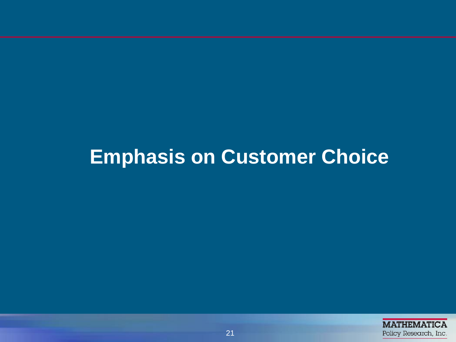### **Emphasis on Customer Choice**

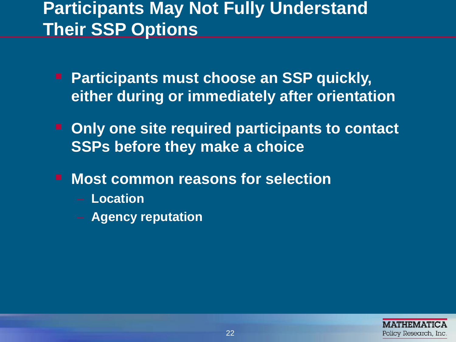#### **Participants May Not Fully Understand Their SSP Options**

- **Participants must choose an SSP quickly, either during or immediately after orientation**
- **P** Only one site required participants to contact **SSPs before they make a choice**
- **Most common reasons for selection** 
	- **Location**
	- **Agency reputation**

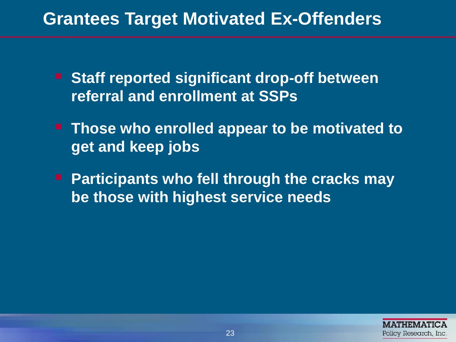#### **Grantees Target Motivated Ex-Offenders**

- **E** Staff reported significant drop-off between **referral and enrollment at SSPs**
- **Those who enrolled appear to be motivated to get and keep jobs**
- **Participants who fell through the cracks may be those with highest service needs**

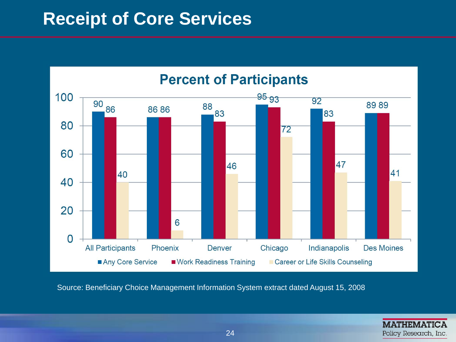#### **Receipt of Core Services**



Source: Beneficiary Choice Management Information System extract dated August 15, 2008

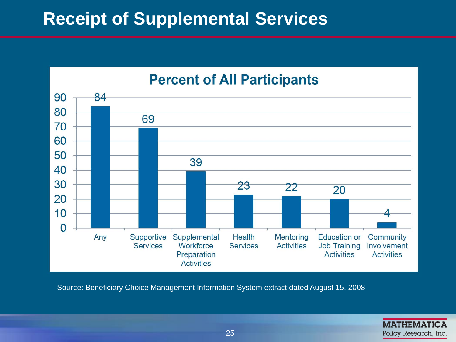#### **Receipt of Supplemental Services**



Source: Beneficiary Choice Management Information System extract dated August 15, 2008

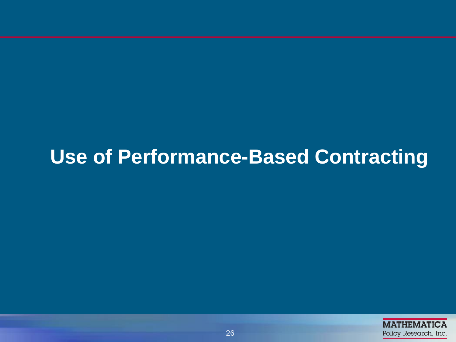# **Use of Performance-Based Contracting**

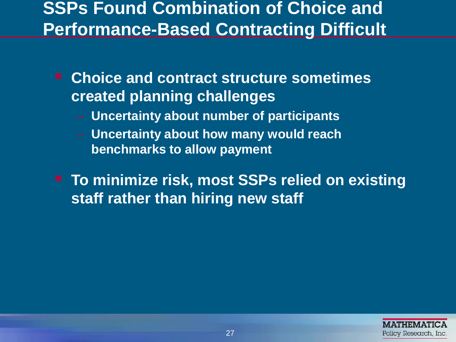#### **SSPs Found Combination of Choice and Performance-Based Contracting Difficult**

- **Choice and contract structure sometimes created planning challenges** 
	- – **Uncertainty about number of participants**
	- **benchmarks to allow payment** – **Uncertainty about how many would reach**
- **staff rather than hiring new staff To minimize risk, most SSPs relied on existing**

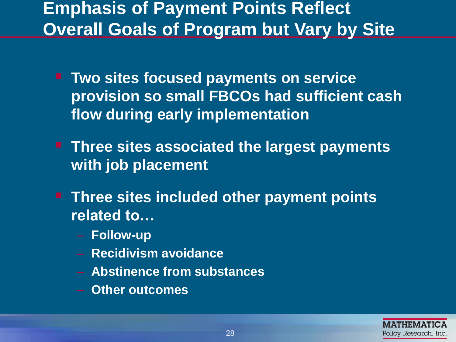### **Emphasis of Payment Points Reflect Overall Goals of Program but Vary by Site**

- **Two sites focused payments on service provision so small FBCOs had sufficient cash flow during early implementation**
- **Three sites associated the largest payments with job placement**
- **Three sites included other payment points related to…** 
	- **Follow-up**
	- **Recidivism avoidance**
	- **Abstinence from substances**
	- **Other outcomes**

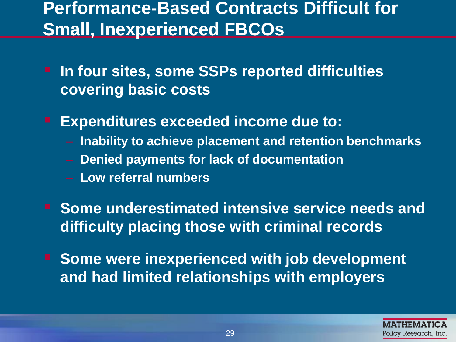#### **Performance-Based Contracts Difficult for Small, Inexperienced FBCOs**

- **In four sites, some SSPs reported difficulties covering basic costs**
- **Expenditures exceeded income due to:** 
	- **Inability to achieve placement and retention benchmarks**
	- **Denied payments for lack of documentation**
	- **Low referral numbers**
- **F** Some underestimated intensive service needs and **difficulty placing those with criminal records**
- Some were inexperienced with job development **and had limited relationships with employers**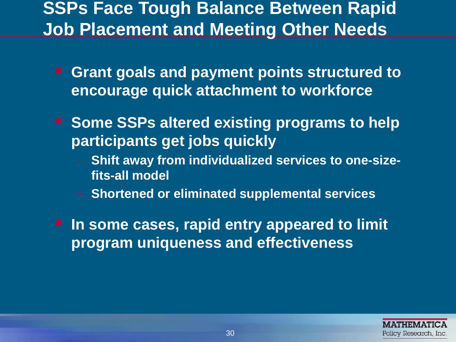#### **SSPs Face Tough Balance Between Rapid Job Placement and Meeting Other Needs**

- **Grant goals and payment points structured to encourage quick attachment to workforce**
- **F** Some SSPs altered existing programs to help **participants get jobs quickly** 
	- **fits-all model - Shift away from individualized services to one-size-**
	- – **Shortened or eliminated supplemental services**
- **In some cases, rapid entry appeared to limit program uniqueness and effectiveness**

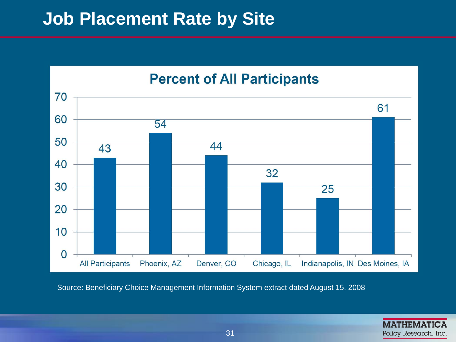#### **Job Placement Rate by Site**



Source: Beneficiary Choice Management Information System extract dated August 15, 2008

**MATHEMATICA** Policy Research, Inc.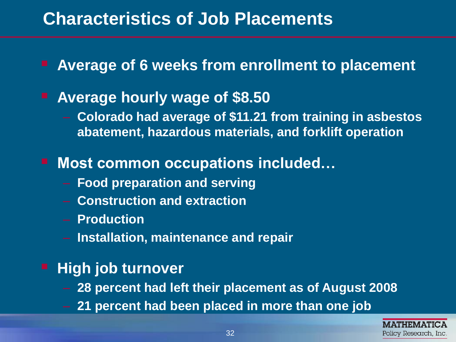#### **Characteristics of Job Placements**

■ Average of 6 weeks from enrollment to placement

### **Average hourly wage of \$8.50**

– **Colorado had average of \$11.21 from training in asbestos abatement, hazardous materials, and forklift operation** 

#### ■ Most common occupations included...

- – **Food preparation and serving**
- – **Construction and extraction**
- – **Production**
- – **Installation, maintenance and repair**

#### **High job turnover**

- – **28 percent had left their placement as of August 2008**
- 21 percent had been placed in more than one job

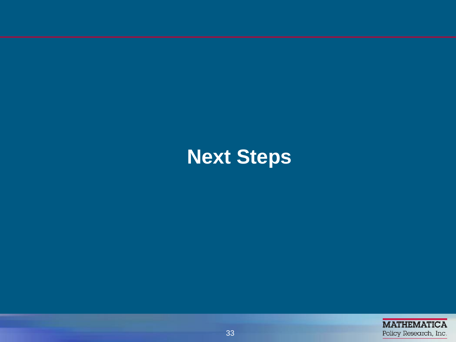# **Next Steps**

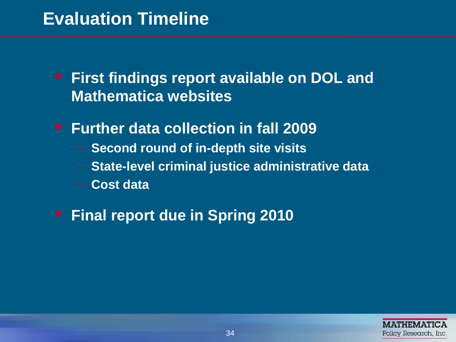### **Evaluation Timeline**

- **First findings report available on DOL and Mathematica websites**
- **Further data collection in fall 2009** 
	- **Second round of in-depth site visits**
	- **State-level criminal justice administrative data**
	- **Cost data**
- **Final report due in Spring 2010**